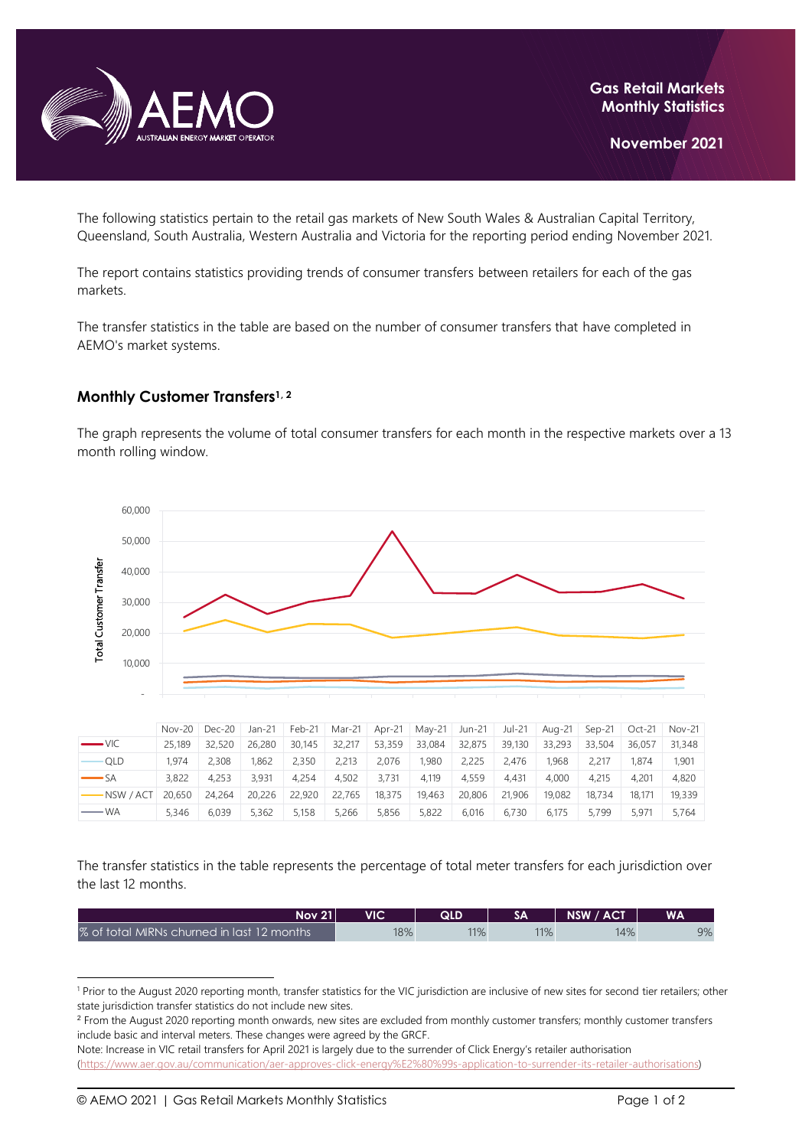

The following statistics pertain to the retail gas markets of New South Wales & Australian Capital Territory, Queensland, South Australia, Western Australia and Victoria for the reporting period ending November 2021.

The report contains statistics providing trends of consumer transfers between retailers for each of the gas markets.

The transfer statistics in the table are based on the number of consumer transfers that have completed in AEMO's market systems.

## **Monthly Customer Transfers1, <sup>2</sup>**

The graph represents the volume of total consumer transfers for each month in the respective markets over a 13 month rolling window.



|                     |        | $Nov-20$ $Dec-20$ | Jan-21 |        | Feb-21   Mar-21   Apr-21   May-21   Jun-21 |        |        |        | Jul-21 |        | Aug-21 Sep-21 | Oct-21 | <b>Nov-21</b> |
|---------------------|--------|-------------------|--------|--------|--------------------------------------------|--------|--------|--------|--------|--------|---------------|--------|---------------|
| $ VIC$              | 25,189 | 32,520            | 26,280 | 30,145 | 32,217                                     | 53,359 | 33,084 | 32,875 | 39,130 | 33,293 | 33,504        | 36.057 | 31,348        |
| <b>QLD</b>          | 1.974  | 2.308             | 1.862  | 2.350  | 2,213                                      | 2.076  | 1.980  | 2,225  | 2.476  | 1.968  | 2.217         | 1.874  | 1,901         |
| $S_A$               | 3.822  | 4.253             | 3.931  | 4.254  | 4.502                                      | 3.731  | 4.119  | 4.559  | 4.431  | 4.000  | 4.215         | 4,201  | 4,820         |
| $-NSW / ACT$ 20.650 |        | 24.264            | 20,226 | 22,920 | 22.765                                     | 18,375 | 19.463 | 20,806 | 21,906 | 19.082 | 18.734        | 18.171 | 19,339        |
| — WA                | 5.346  | 6.039             | 5.362  | 5.158  | 5,266                                      | 5.856  | 5,822  | 6.016  | 6.730  | 6.175  | 5.799         | 5.971  | 5.764         |

The transfer statistics in the table represents the percentage of total meter transfers for each jurisdiction over the last 12 months.

| <b>Nov 21</b>                              | VIC | QLD |     | <b>NSW / ACT</b> | <b>WA</b> |
|--------------------------------------------|-----|-----|-----|------------------|-----------|
| % of total MIRNs churned in last 12 months | 18% | 11% | 11% | 14%              | 9%        |

<sup>&</sup>lt;sup>1</sup> Prior to the August 2020 reporting month, transfer statistics for the VIC jurisdiction are inclusive of new sites for second tier retailers; other state jurisdiction transfer statistics do not include new sites.

<sup>&</sup>lt;sup>2</sup> From the August 2020 reporting month onwards, new sites are excluded from monthly customer transfers; monthly customer transfers include basic and interval meters. These changes were agreed by the GRCF.

Note: Increase in VIC retail transfers for April 2021 is largely due to the surrender of Click Energy's retailer authorisation [\(https://www.aer.gov.au/communication/aer-approves-click-energy%E2%80%99s-application-to-surrender-its-retailer-authorisations\)](https://www.aer.gov.au/communication/aer-approves-click-energy%E2%80%99s-application-to-surrender-its-retailer-authorisations)